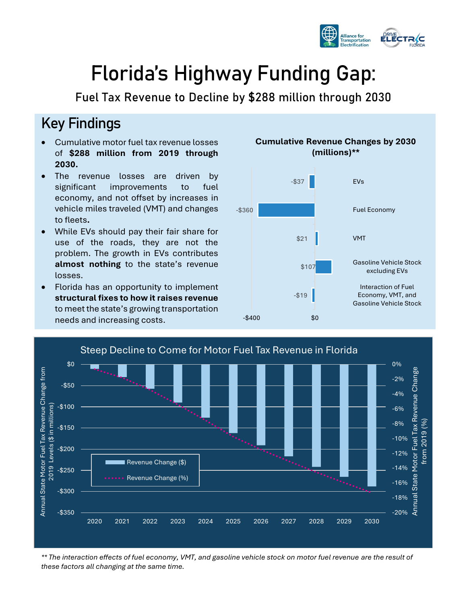

-20% -18%

-16%

Annual State Motor Fuel Tax Revenue Change from 2019 (%)

State

from 2019 (%

Motor Fuel Tax Revenue Change

# **Florida's Highway Funding Gap:**

**Fuel Tax Revenue to Decline by \$288 million through 2030**

#### Key Findings

-\$350

-\$300

-\$250

-\$200

Annual State Motor Fuel Tax Revenue Change from 2019 Levels (\$ in millions)

2019 Levels (\$ in millions)

Annual State Motor Fuel Tax Revenue Change from

-\$150

-\$100

-\$50

\$0

- Cumulative motor fuel tax revenue losses of **\$288 million from 2019 through 2030.**
- The revenue losses are driven by significant improvements to fuel economy, and not offset by increases in vehicle miles traveled (VMT) and changes to fleets**.**
- While EVs should pay their fair share for use of the roads, they are not the problem. The growth in EVs contributes **almost nothing** to the state's revenue losses.
- Florida has an opportunity to implement **structural fixes to how it raises revenue** to meet the state's growing transportation needs and increasing costs.

**......** Revenue Change (%)





*\*\* The interaction effects of fuel economy, VMT, and gasoline vehicle stock on motor fuel revenue are the result of these factors all changing at the same time.*

2020 2021 2022 2023 2024 2025 2026 2027 2028 2029 2030

#### **Cumulative Revenue Changes by 2030 (millions)\*\***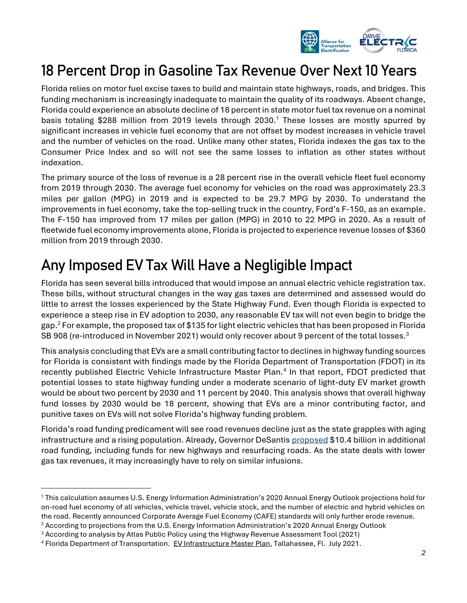

#### 18 Percent Drop in Gasoline Tax Revenue Over Next 10 Years

Florida relies on motor fuel excise taxes to build and maintain state highways, roads, and bridges. This funding mechanism is increasingly inadequate to maintain the quality of its roadways. Absent change, Florida could experience an absolute decline of 18 percent in state motor fuel tax revenue on a nominal basis totaling \$288 million from 2019 levels through 2030.<sup>1</sup> These losses are mostly spurred by significant increases in vehicle fuel economy that are not offset by modest increases in vehicle travel and the number of vehicles on the road. Unlike many other states, Florida indexes the gas tax to the Consumer Price Index and so will not see the same losses to inflation as other states without indexation.

The primary source of the loss of revenue is a 28 percent rise in the overall vehicle fleet fuel economy from 2019 through 2030. The average fuel economy for vehicles on the road was approximately 23.3 miles per gallon (MPG) in 2019 and is expected to be 29.7 MPG by 2030. To understand the improvements in fuel economy, take the top-selling truck in the country, Ford's F-150, as an example. The F-150 has improved from 17 miles per gallon (MPG) in 2010 to 22 MPG in 2020. As a result of fleetwide fuel economy improvements alone, Florida is projected to experience revenue losses of \$360 million from 2019 through 2030.

# Any Imposed EV Tax Will Have a Negligible Impact

Florida has seen several bills introduced that would impose an annual electric vehicle registration tax. These bills, without structural changes in the way gas taxes are determined and assessed would do little to arrest the losses experienced by the State Highway Fund. Even though Florida is expected to experience a steep rise in EV adoption to 2030, any reasonable EV tax will not even begin to bridge the gap.<sup>2</sup> For example, the proposed tax of \$135 for light electric vehicles that has been proposed in Florida SB 908 (re-introduced in November 2021) would only recover about 9 percent of the total losses.<sup>3</sup>

This analysis concluding that EVs are a small contributing factor to declines in highway funding sources for Florida is consistent with findings made by the Florida Department of Transportation (FDOT) in its recently published Electric Vehicle Infrastructure Master Plan.<sup>4</sup> In that report, FDOT predicted that potential losses to state highway funding under a moderate scenario of light-duty EV market growth would be about two percent by 2030 and 11 percent by 2040. This analysis shows that overall highway fund losses by 2030 would be 18 percent, showing that EVs are a minor contributing factor, and punitive taxes on EVs will not solve Florida's highway funding problem.

Florida's road funding predicament will see road revenues decline just as the state grapples with aging infrastructure and a rising population. Already, Governor DeSanti[s proposed](https://fdotwww.blob.core.windows.net/sitefinity/docs/default-source/info/co/news/newsreleases/01282021-fdot-budget-press-release.pdf?sfvrsn=bf09147c_2) \$10.4 billion in additional road funding, including funds for new highways and resurfacing roads. As the state deals with lower gas tax revenues, it may increasingly have to rely on similar infusions.

<sup>1</sup> This calculation assumes U.S. Energy Information Administration's 2020 Annual Energy Outlook projections hold for on-road fuel economy of all vehicles, vehicle travel, vehicle stock, and the number of electric and hybrid vehicles on the road. Recently announced Corporate Average Fuel Economy (CAFE) standards will only further erode revenue.

<sup>&</sup>lt;sup>2</sup> According to projections from the U.S. Energy Information Administration's 2020 Annual Energy Outlook

<sup>3</sup> According to analysis by Atlas Public Policy using the Highway Revenue Assessment Tool (2021)

<sup>4</sup> Florida Department of Transportation. EV Infrastructure Master Plan, Tallahassee, Fl. July 2021.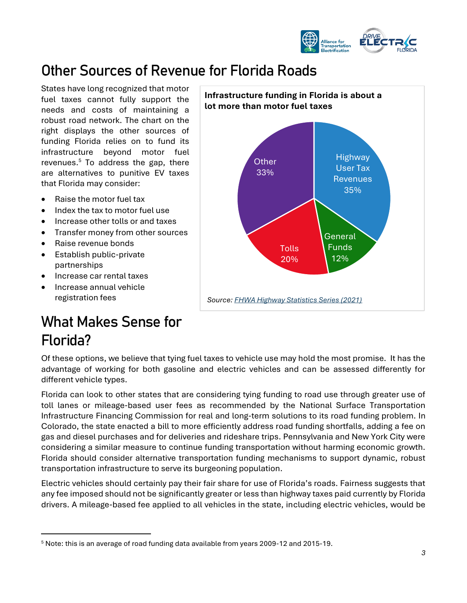

#### Other Sources of Revenue for Florida Roads

States have long recognized that motor fuel taxes cannot fully support the needs and costs of maintaining a robust road network. The chart on the right displays the other sources of funding Florida relies on to fund its infrastructure beyond motor fuel revenues. $5$  To address the gap, there are alternatives to punitive EV taxes that Florida may consider:

- Raise the motor fuel tax
- Index the tax to motor fuel use
- Increase other tolls or and taxes
- Transfer money from other sources
- Raise revenue bonds
- Establish public-private partnerships
- Increase car rental taxes
- Increase annual vehicle registration fees

# What Makes Sense for Florida?

Of these options, we believe that tying fuel taxes to vehicle use may hold the most promise. It has the advantage of working for both gasoline and electric vehicles and can be assessed differently for different vehicle types.

Florida can look to other states that are considering tying funding to road use through greater use of toll lanes or mileage-based user fees as recommended by the National Surface Transportation Infrastructure Financing Commission for real and long-term solutions to its road funding problem. In Colorado, the state enacted a bill to more efficiently address road funding shortfalls, adding a fee on gas and diesel purchases and for deliveries and rideshare trips. Pennsylvania and New York City were considering a similar measure to continue funding transportation without harming economic growth. Florida should consider alternative transportation funding mechanisms to support dynamic, robust transportation infrastructure to serve its burgeoning population.

Electric vehicles should certainly pay their fair share for use of Florida's roads. Fairness suggests that any fee imposed should not be significantly greater or less than highway taxes paid currently by Florida drivers. A mileage-based fee applied to all vehicles in the state, including electric vehicles, would be



<sup>5</sup> Note: this is an average of road funding data available from years 2009-12 and 2015-19.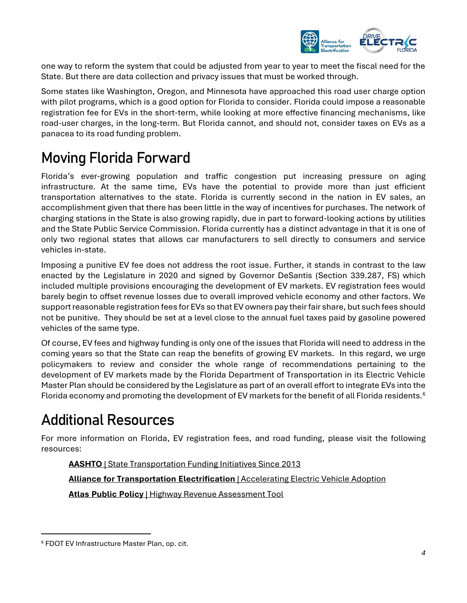

one way to reform the system that could be adjusted from year to year to meet the fiscal need for the State. But there are data collection and privacy issues that must be worked through.

Some states like Washington, Oregon, and Minnesota have approached this road user charge option with pilot programs, which is a good option for Florida to consider. Florida could impose a reasonable registration fee for EVs in the short-term, while looking at more effective financing mechanisms, like road-user charges, in the long-term. But Florida cannot, and should not, consider taxes on EVs as a panacea to its road funding problem.

## Moving Florida Forward

Florida's ever-growing population and traffic congestion put increasing pressure on aging infrastructure. At the same time, EVs have the potential to provide more than just efficient transportation alternatives to the state. Florida is currently second in the nation in EV sales, an accomplishment given that there has been little in the way of incentives for purchases. The network of charging stations in the State is also growing rapidly, due in part to forward-looking actions by utilities and the State Public Service Commission. Florida currently has a distinct advantage in that it is one of only two regional states that allows car manufacturers to sell directly to consumers and service vehicles in-state.

Imposing a punitive EV fee does not address the root issue. Further, it stands in contrast to the law enacted by the Legislature in 2020 and signed by Governor DeSantis (Section 339.287, FS) which included multiple provisions encouraging the development of EV markets. EV registration fees would barely begin to offset revenue losses due to overall improved vehicle economy and other factors. We support reasonable registration fees for EVs so that EV owners pay their fair share, but such fees should not be punitive. They should be set at a level close to the annual fuel taxes paid by gasoline powered vehicles of the same type.

Of course, EV fees and highway funding is only one of the issues that Florida will need to address in the coming years so that the State can reap the benefits of growing EV markets. In this regard, we urge policymakers to review and consider the whole range of recommendations pertaining to the development of EV markets made by the Florida Department of Transportation in its Electric Vehicle Master Plan should be considered by the Legislature as part of an overall effort to integrate EVs into the Florida economy and promoting the development of EV markets for the benefit of all Florida residents.<sup>6</sup>

## Additional Resources

For more information on Florida, EV registration fees, and road funding, please visit the following resources:

**AASHTO** [| State Transportation Funding Initiatives Since 2013](https://fundingfinance.transportation.org/state-transportation-revenue-packages/)

**[Alliance for Transportation Electrification](https://evtransportationalliance.org/)** | Accelerating Electric Vehicle Adoption

**Atlas Public Policy** | [Highway Revenue Assessment Tool](https://atlaspolicy.com/highway-revenue-assessment-tool/)

<sup>6</sup> FDOT EV Infrastructure Master Plan, op. cit.